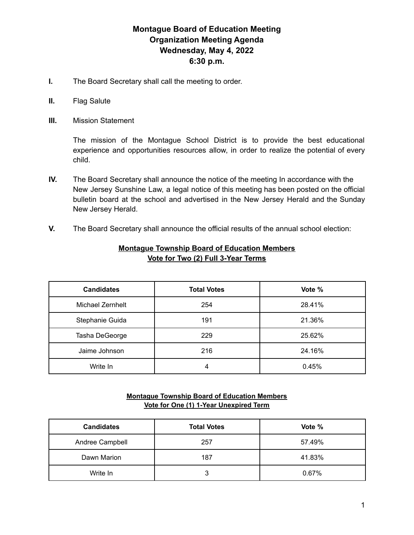# **Montague Board of Education Meeting Organization Meeting Agenda Wednesday, May 4, 2022 6:30 p.m.**

- **I.** The Board Secretary shall call the meeting to order.
- **II.** Flag Salute
- **III.** Mission Statement

The mission of the Montague School District is to provide the best educational experience and opportunities resources allow, in order to realize the potential of every child.

- **IV.** The Board Secretary shall announce the notice of the meeting In accordance with the New Jersey Sunshine Law, a legal notice of this meeting has been posted on the official bulletin board at the school and advertised in the New Jersey Herald and the Sunday New Jersey Herald.
- **V.** The Board Secretary shall announce the official results of the annual school election:

| <b>Candidates</b> | <b>Total Votes</b> | Vote % |
|-------------------|--------------------|--------|
| Michael Zernhelt  | 254                | 28.41% |
| Stephanie Guida   | 191                | 21.36% |
| Tasha DeGeorge    | 229                | 25.62% |
| Jaime Johnson     | 216                | 24.16% |
| Write In          |                    | 0.45%  |

# **Montague Township Board of Education Members Vote for Two (2) Full 3-Year Terms**

# **Montague Township Board of Education Members Vote for One (1) 1-Year Unexpired Term**

| <b>Candidates</b> | <b>Total Votes</b> | Vote % |
|-------------------|--------------------|--------|
| Andree Campbell   | 257                | 57.49% |
| Dawn Marion       | 187                | 41.83% |
| Write In          | 3                  | 0.67%  |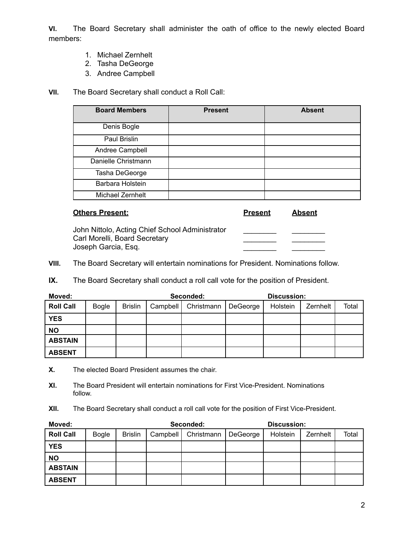**VI.** The Board Secretary shall administer the oath of office to the newly elected Board members:

- 1. Michael Zernhelt
- 2. Tasha DeGeorge
- 3. Andree Campbell

**VII.** The Board Secretary shall conduct a Roll Call:

| <b>Board Members</b> | <b>Present</b> | <b>Absent</b> |
|----------------------|----------------|---------------|
| Denis Bogle          |                |               |
| Paul Brislin         |                |               |
| Andree Campbell      |                |               |
| Danielle Christmann  |                |               |
| Tasha DeGeorge       |                |               |
| Barbara Holstein     |                |               |
| Michael Zernhelt     |                |               |

| <b>Others Present:</b>                                                                                  | <b>Present</b> | Absent |
|---------------------------------------------------------------------------------------------------------|----------------|--------|
| John Nittolo, Acting Chief School Administrator<br>Carl Morelli, Board Secretary<br>Joseph Garcia, Esq. |                |        |

**VIII.** The Board Secretary will entertain nominations for President. Nominations follow.

**IX.** The Board Secretary shall conduct a roll call vote for the position of President.

| Moved:           | Seconded:    |                |          |            | Discussion: |          |          |       |
|------------------|--------------|----------------|----------|------------|-------------|----------|----------|-------|
| <b>Roll Call</b> | <b>Bogle</b> | <b>Brislin</b> | Campbell | Christmann | DeGeorge    | Holstein | Zernhelt | Total |
| <b>YES</b>       |              |                |          |            |             |          |          |       |
| <b>NO</b>        |              |                |          |            |             |          |          |       |
| <b>ABSTAIN</b>   |              |                |          |            |             |          |          |       |
| <b>ABSENT</b>    |              |                |          |            |             |          |          |       |

**X.** The elected Board President assumes the chair.

**XI.** The Board President will entertain nominations for First Vice-President. Nominations follow.

**XII.** The Board Secretary shall conduct a roll call vote for the position of First Vice-President.

| Moved:           |              |                | Seconded: |            |          | Discussion: |          |       |
|------------------|--------------|----------------|-----------|------------|----------|-------------|----------|-------|
| <b>Roll Call</b> | <b>Bogle</b> | <b>Brislin</b> | Campbell  | Christmann | DeGeorge | Holstein    | Zernhelt | Total |
| <b>YES</b>       |              |                |           |            |          |             |          |       |
| <b>NO</b>        |              |                |           |            |          |             |          |       |
| <b>ABSTAIN</b>   |              |                |           |            |          |             |          |       |
| <b>ABSENT</b>    |              |                |           |            |          |             |          |       |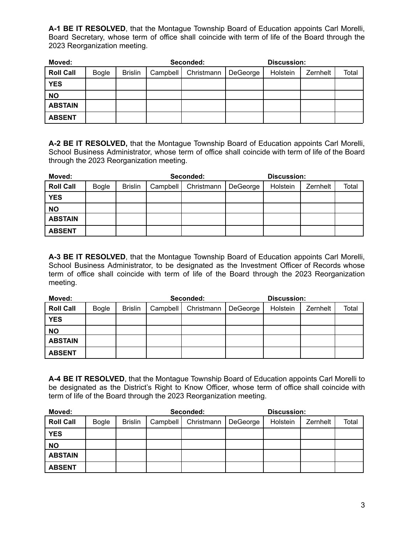**A-1 BE IT RESOLVED**, that the Montague Township Board of Education appoints Carl Morelli, Board Secretary, whose term of office shall coincide with term of life of the Board through the 2023 Reorganization meeting.

| Moved:           |              |                | Seconded: |            |          | <b>Discussion:</b> |          |       |
|------------------|--------------|----------------|-----------|------------|----------|--------------------|----------|-------|
| <b>Roll Call</b> | <b>Bogle</b> | <b>Brislin</b> | Campbell  | Christmann | DeGeorge | Holstein           | Zernhelt | Total |
| <b>YES</b>       |              |                |           |            |          |                    |          |       |
| <b>NO</b>        |              |                |           |            |          |                    |          |       |
| <b>ABSTAIN</b>   |              |                |           |            |          |                    |          |       |
| <b>ABSENT</b>    |              |                |           |            |          |                    |          |       |

**A-2 BE IT RESOLVED,** that the Montague Township Board of Education appoints Carl Morelli, School Business Administrator, whose term of office shall coincide with term of life of the Board through the 2023 Reorganization meeting.

| Moved:           |              |                | Seconded: |            |          | Discussion: |          |       |
|------------------|--------------|----------------|-----------|------------|----------|-------------|----------|-------|
| <b>Roll Call</b> | <b>Bogle</b> | <b>Brislin</b> | Campbell  | Christmann | DeGeorge | Holstein    | Zernhelt | Total |
| <b>YES</b>       |              |                |           |            |          |             |          |       |
| <b>NO</b>        |              |                |           |            |          |             |          |       |
| <b>ABSTAIN</b>   |              |                |           |            |          |             |          |       |
| <b>ABSENT</b>    |              |                |           |            |          |             |          |       |

**A-3 BE IT RESOLVED**, that the Montague Township Board of Education appoints Carl Morelli, School Business Administrator, to be designated as the Investment Officer of Records whose term of office shall coincide with term of life of the Board through the 2023 Reorganization meeting.

| Moved:           |              |                |          | Seconded:<br>Discussion: |          |          |          |       |
|------------------|--------------|----------------|----------|--------------------------|----------|----------|----------|-------|
| <b>Roll Call</b> | <b>Bogle</b> | <b>Brislin</b> | Campbell | Christmann               | DeGeorge | Holstein | Zernhelt | Total |
| <b>YES</b>       |              |                |          |                          |          |          |          |       |
| <b>NO</b>        |              |                |          |                          |          |          |          |       |
| <b>ABSTAIN</b>   |              |                |          |                          |          |          |          |       |
| <b>ABSENT</b>    |              |                |          |                          |          |          |          |       |

**A-4 BE IT RESOLVED**, that the Montague Township Board of Education appoints Carl Morelli to be designated as the District's Right to Know Officer, whose term of office shall coincide with term of life of the Board through the 2023 Reorganization meeting.

| Moved:           |              |                | Seconded: |            |          | <b>Discussion:</b> |          |       |
|------------------|--------------|----------------|-----------|------------|----------|--------------------|----------|-------|
| <b>Roll Call</b> | <b>Bogle</b> | <b>Brislin</b> | Campbell  | Christmann | DeGeorge | Holstein           | Zernhelt | Total |
| <b>YES</b>       |              |                |           |            |          |                    |          |       |
| <b>NO</b>        |              |                |           |            |          |                    |          |       |
| <b>ABSTAIN</b>   |              |                |           |            |          |                    |          |       |
| <b>ABSENT</b>    |              |                |           |            |          |                    |          |       |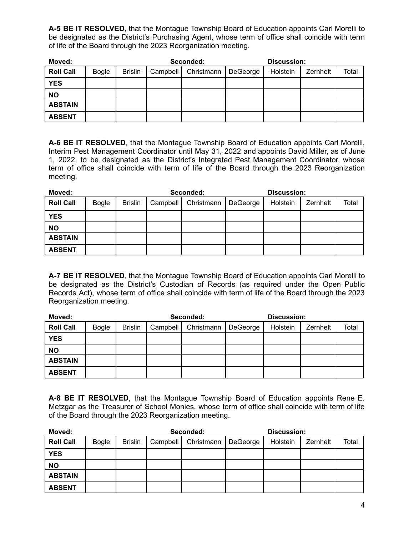**A-5 BE IT RESOLVED**, that the Montague Township Board of Education appoints Carl Morelli to be designated as the District's Purchasing Agent, whose term of office shall coincide with term of life of the Board through the 2023 Reorganization meeting.

| Moved:           |              |                | Seconded: |            |          | Discussion: |          |       |
|------------------|--------------|----------------|-----------|------------|----------|-------------|----------|-------|
| <b>Roll Call</b> | <b>Bogle</b> | <b>Brislin</b> | Campbell  | Christmann | DeGeorge | Holstein    | Zernhelt | Total |
| <b>YES</b>       |              |                |           |            |          |             |          |       |
| <b>NO</b>        |              |                |           |            |          |             |          |       |
| <b>ABSTAIN</b>   |              |                |           |            |          |             |          |       |
| <b>ABSENT</b>    |              |                |           |            |          |             |          |       |

**A-6 BE IT RESOLVED**, that the Montague Township Board of Education appoints Carl Morelli, Interim Pest Management Coordinator until May 31, 2022 and appoints David Miller, as of June 1, 2022, to be designated as the District's Integrated Pest Management Coordinator, whose term of office shall coincide with term of life of the Board through the 2023 Reorganization meeting.

| Moved:           |              |                | Seconded: |            |          | Discussion: |          |       |
|------------------|--------------|----------------|-----------|------------|----------|-------------|----------|-------|
| <b>Roll Call</b> | <b>Bogle</b> | <b>Brislin</b> | Campbell  | Christmann | DeGeorge | Holstein    | Zernhelt | Total |
| <b>YES</b>       |              |                |           |            |          |             |          |       |
| <b>NO</b>        |              |                |           |            |          |             |          |       |
| <b>ABSTAIN</b>   |              |                |           |            |          |             |          |       |
| <b>ABSENT</b>    |              |                |           |            |          |             |          |       |

**A-7 BE IT RESOLVED**, that the Montague Township Board of Education appoints Carl Morelli to be designated as the District's Custodian of Records (as required under the Open Public Records Act), whose term of office shall coincide with term of life of the Board through the 2023 Reorganization meeting.

| Moved:           |              |                |          | Seconded:  |          | <b>Discussion:</b> |          |       |
|------------------|--------------|----------------|----------|------------|----------|--------------------|----------|-------|
| <b>Roll Call</b> | <b>Bogle</b> | <b>Brislin</b> | Campbell | Christmann | DeGeorge | Holstein           | Zernhelt | Total |
| <b>YES</b>       |              |                |          |            |          |                    |          |       |
| <b>NO</b>        |              |                |          |            |          |                    |          |       |
| <b>ABSTAIN</b>   |              |                |          |            |          |                    |          |       |
| <b>ABSENT</b>    |              |                |          |            |          |                    |          |       |

**A-8 BE IT RESOLVED**, that the Montague Township Board of Education appoints Rene E. Metzgar as the Treasurer of School Monies, whose term of office shall coincide with term of life of the Board through the 2023 Reorganization meeting.

| Moved:           |              |                |          | Seconded:  |          | <b>Discussion:</b> |          |       |
|------------------|--------------|----------------|----------|------------|----------|--------------------|----------|-------|
| <b>Roll Call</b> | <b>Bogle</b> | <b>Brislin</b> | Campbell | Christmann | DeGeorge | Holstein           | Zernhelt | Total |
| <b>YES</b>       |              |                |          |            |          |                    |          |       |
| <b>NO</b>        |              |                |          |            |          |                    |          |       |
| <b>ABSTAIN</b>   |              |                |          |            |          |                    |          |       |
| <b>ABSENT</b>    |              |                |          |            |          |                    |          |       |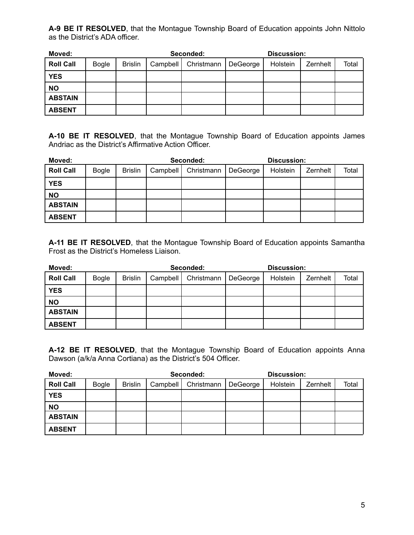**A-9 BE IT RESOLVED**, that the Montague Township Board of Education appoints John Nittolo as the District's ADA officer.

| Moved:           |              |                |          | Seconded:  |          | Discussion: |          |       |
|------------------|--------------|----------------|----------|------------|----------|-------------|----------|-------|
| <b>Roll Call</b> | <b>Bogle</b> | <b>Brislin</b> | Campbell | Christmann | DeGeorge | Holstein    | Zernhelt | Total |
| <b>YES</b>       |              |                |          |            |          |             |          |       |
| <b>NO</b>        |              |                |          |            |          |             |          |       |
| <b>ABSTAIN</b>   |              |                |          |            |          |             |          |       |
| <b>ABSENT</b>    |              |                |          |            |          |             |          |       |

**A-10 BE IT RESOLVED**, that the Montague Township Board of Education appoints James Andriac as the District's Affirmative Action Officer.

| Moved:           |              |                |          | Seconded:  |          | <b>Discussion:</b> |          |       |
|------------------|--------------|----------------|----------|------------|----------|--------------------|----------|-------|
| <b>Roll Call</b> | <b>Bogle</b> | <b>Brislin</b> | Campbell | Christmann | DeGeorge | Holstein           | Zernhelt | Total |
| <b>YES</b>       |              |                |          |            |          |                    |          |       |
| <b>NO</b>        |              |                |          |            |          |                    |          |       |
| <b>ABSTAIN</b>   |              |                |          |            |          |                    |          |       |
| <b>ABSENT</b>    |              |                |          |            |          |                    |          |       |

**A-11 BE IT RESOLVED**, that the Montague Township Board of Education appoints Samantha Frost as the District's Homeless Liaison.

| Moved:           |              |                |          | Seconded:  |          | <b>Discussion:</b> |          |       |
|------------------|--------------|----------------|----------|------------|----------|--------------------|----------|-------|
| <b>Roll Call</b> | <b>Bogle</b> | <b>Brislin</b> | Campbell | Christmann | DeGeorge | Holstein           | Zernhelt | Total |
| <b>YES</b>       |              |                |          |            |          |                    |          |       |
| <b>NO</b>        |              |                |          |            |          |                    |          |       |
| <b>ABSTAIN</b>   |              |                |          |            |          |                    |          |       |
| <b>ABSENT</b>    |              |                |          |            |          |                    |          |       |

**A-12 BE IT RESOLVED**, that the Montague Township Board of Education appoints Anna Dawson (a/k/a Anna Cortiana) as the District's 504 Officer.

| Moved:           |              |                |          | Seconded:  |          | Discussion: |          |       |
|------------------|--------------|----------------|----------|------------|----------|-------------|----------|-------|
| <b>Roll Call</b> | <b>Bogle</b> | <b>Brislin</b> | Campbell | Christmann | DeGeorge | Holstein    | Zernhelt | Total |
| <b>YES</b>       |              |                |          |            |          |             |          |       |
| <b>NO</b>        |              |                |          |            |          |             |          |       |
| <b>ABSTAIN</b>   |              |                |          |            |          |             |          |       |
| <b>ABSENT</b>    |              |                |          |            |          |             |          |       |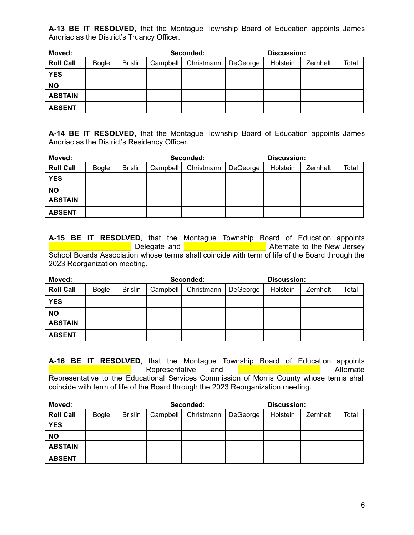**A-13 BE IT RESOLVED**, that the Montague Township Board of Education appoints James Andriac as the District's Truancy Officer.

| Moved:           |              |                |          | Seconded:  |          | <b>Discussion:</b> |          |       |
|------------------|--------------|----------------|----------|------------|----------|--------------------|----------|-------|
| <b>Roll Call</b> | <b>Bogle</b> | <b>Brislin</b> | Campbell | Christmann | DeGeorge | Holstein           | Zernhelt | Total |
| <b>YES</b>       |              |                |          |            |          |                    |          |       |
| <b>NO</b>        |              |                |          |            |          |                    |          |       |
| <b>ABSTAIN</b>   |              |                |          |            |          |                    |          |       |
| <b>ABSENT</b>    |              |                |          |            |          |                    |          |       |

**A-14 BE IT RESOLVED**, that the Montague Township Board of Education appoints James Andriac as the District's Residency Officer.

| Moved:           |              |                |          | Seconded:  |          | Discussion: |          |       |
|------------------|--------------|----------------|----------|------------|----------|-------------|----------|-------|
| <b>Roll Call</b> | <b>Bogle</b> | <b>Brislin</b> | Campbell | Christmann | DeGeorge | Holstein    | Zernhelt | Total |
| <b>YES</b>       |              |                |          |            |          |             |          |       |
| <b>NO</b>        |              |                |          |            |          |             |          |       |
| <b>ABSTAIN</b>   |              |                |          |            |          |             |          |       |
| <b>ABSENT</b>    |              |                |          |            |          |             |          |       |

**A-15 BE IT RESOLVED**, that the Montague Township Board of Education appoints L Delegate and **Letter Lines and Alternate to the New Jersey** School Boards Association whose terms shall coincide with term of life of the Board through the 2023 Reorganization meeting.

| Moved:           |              |                |          | Seconded:  |          | Discussion: |          |       |
|------------------|--------------|----------------|----------|------------|----------|-------------|----------|-------|
| <b>Roll Call</b> | <b>Bogle</b> | <b>Brislin</b> | Campbell | Christmann | DeGeorge | Holstein    | Zernhelt | Total |
| <b>YES</b>       |              |                |          |            |          |             |          |       |
| <b>NO</b>        |              |                |          |            |          |             |          |       |
| <b>ABSTAIN</b>   |              |                |          |            |          |             |          |       |
| <b>ABSENT</b>    |              |                |          |            |          |             |          |       |

**A-16 BE IT RESOLVED**, that the Montague Township Board of Education appoints Representative and **EXECUTE Alternate** Alternate Representative to the Educational Services Commission of Morris County whose terms shall coincide with term of life of the Board through the 2023 Reorganization meeting.

| Moved:           |              |                |          | Seconded:  |          | <b>Discussion:</b> |          |       |
|------------------|--------------|----------------|----------|------------|----------|--------------------|----------|-------|
| <b>Roll Call</b> | <b>Bogle</b> | <b>Brislin</b> | Campbell | Christmann | DeGeorge | Holstein           | Zernhelt | Total |
| <b>YES</b>       |              |                |          |            |          |                    |          |       |
| <b>NO</b>        |              |                |          |            |          |                    |          |       |
| <b>ABSTAIN</b>   |              |                |          |            |          |                    |          |       |
| <b>ABSENT</b>    |              |                |          |            |          |                    |          |       |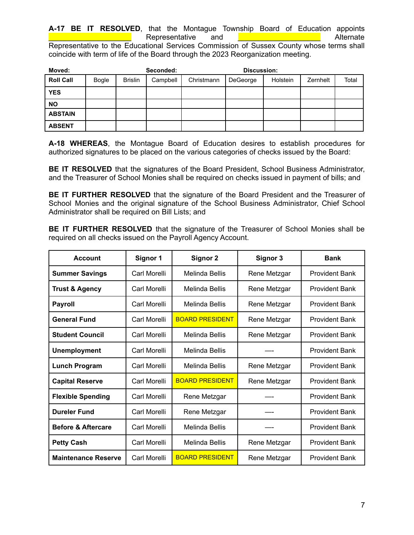**A-17 BE IT RESOLVED**, that the Montague Township Board of Education appoints Representative and **Depresentative** and **Representative** and **Representative** and **Representative** Representative to the Educational Services Commission of Sussex County whose terms shall coincide with term of life of the Board through the 2023 Reorganization meeting.

| Moved:           |       |                | Seconded: |            | <b>Discussion:</b> |          |          |       |
|------------------|-------|----------------|-----------|------------|--------------------|----------|----------|-------|
| <b>Roll Call</b> | Bogle | <b>Brislin</b> | Campbell  | Christmann | DeGeorge           | Holstein | Zernhelt | Total |
| <b>YES</b>       |       |                |           |            |                    |          |          |       |
| <b>NO</b>        |       |                |           |            |                    |          |          |       |
| <b>ABSTAIN</b>   |       |                |           |            |                    |          |          |       |
| <b>ABSENT</b>    |       |                |           |            |                    |          |          |       |

**A-18 WHEREAS**, the Montague Board of Education desires to establish procedures for authorized signatures to be placed on the various categories of checks issued by the Board:

**BE IT RESOLVED** that the signatures of the Board President, School Business Administrator, and the Treasurer of School Monies shall be required on checks issued in payment of bills; and

**BE IT FURTHER RESOLVED** that the signature of the Board President and the Treasurer of School Monies and the original signature of the School Business Administrator, Chief School Administrator shall be required on Bill Lists; and

**BE IT FURTHER RESOLVED** that the signature of the Treasurer of School Monies shall be required on all checks issued on the Payroll Agency Account.

| <b>Account</b>                | Signor 1     | <b>Signor 2</b>        | Signor 3     | <b>Bank</b>           |
|-------------------------------|--------------|------------------------|--------------|-----------------------|
| <b>Summer Savings</b>         | Carl Morelli | <b>Melinda Bellis</b>  | Rene Metzgar | <b>Provident Bank</b> |
| <b>Trust &amp; Agency</b>     | Carl Morelli | Melinda Bellis         | Rene Metzgar | <b>Provident Bank</b> |
| <b>Payroll</b>                | Carl Morelli | Melinda Bellis         | Rene Metzgar | <b>Provident Bank</b> |
| <b>General Fund</b>           | Carl Morelli | <b>BOARD PRESIDENT</b> | Rene Metzgar | <b>Provident Bank</b> |
| <b>Student Council</b>        | Carl Morelli | Melinda Bellis         | Rene Metzgar | <b>Provident Bank</b> |
| <b>Unemployment</b>           | Carl Morelli | Melinda Bellis         |              | <b>Provident Bank</b> |
| <b>Lunch Program</b>          | Carl Morelli | Melinda Bellis         | Rene Metzgar | <b>Provident Bank</b> |
| <b>Capital Reserve</b>        | Carl Morelli | <b>BOARD PRESIDENT</b> | Rene Metzgar | <b>Provident Bank</b> |
| <b>Flexible Spending</b>      | Carl Morelli | Rene Metzgar           |              | <b>Provident Bank</b> |
| <b>Dureler Fund</b>           | Carl Morelli | Rene Metzgar           |              | <b>Provident Bank</b> |
| <b>Before &amp; Aftercare</b> | Carl Morelli | Melinda Bellis         |              | <b>Provident Bank</b> |
| <b>Petty Cash</b>             | Carl Morelli | Melinda Bellis         | Rene Metzgar | <b>Provident Bank</b> |
| <b>Maintenance Reserve</b>    | Carl Morelli | <b>BOARD PRESIDENT</b> | Rene Metzgar | <b>Provident Bank</b> |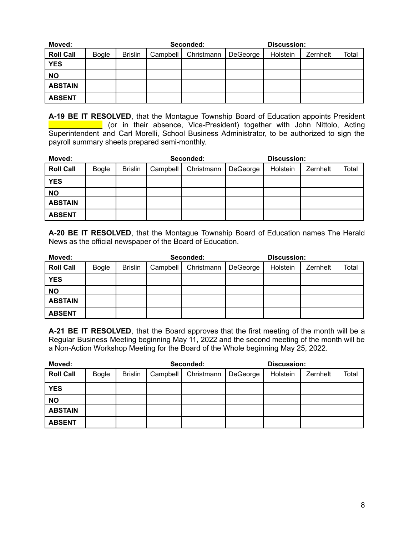| Moved:           |              |                |          | Seconded:  |          | Discussion: |          |       |
|------------------|--------------|----------------|----------|------------|----------|-------------|----------|-------|
| <b>Roll Call</b> | <b>Bogle</b> | <b>Brislin</b> | Campbell | Christmann | DeGeorge | Holstein    | Zernhelt | Total |
| <b>YES</b>       |              |                |          |            |          |             |          |       |
| <b>NO</b>        |              |                |          |            |          |             |          |       |
| <b>ABSTAIN</b>   |              |                |          |            |          |             |          |       |
| <b>ABSENT</b>    |              |                |          |            |          |             |          |       |

**A-19 BE IT RESOLVED**, that the Montague Township Board of Education appoints President \_\_\_\_\_\_\_\_\_\_\_\_\_ (or in their absence, Vice-President) together with John Nittolo, Acting Superintendent and Carl Morelli, School Business Administrator, to be authorized to sign the payroll summary sheets prepared semi-monthly.

| Moved:           |              |                |          | Seconded:  |          | <b>Discussion:</b> |          |       |
|------------------|--------------|----------------|----------|------------|----------|--------------------|----------|-------|
| <b>Roll Call</b> | <b>Bogle</b> | <b>Brislin</b> | Campbell | Christmann | DeGeorge | Holstein           | Zernhelt | Total |
| <b>YES</b>       |              |                |          |            |          |                    |          |       |
| <b>NO</b>        |              |                |          |            |          |                    |          |       |
| <b>ABSTAIN</b>   |              |                |          |            |          |                    |          |       |
| <b>ABSENT</b>    |              |                |          |            |          |                    |          |       |

**A-20 BE IT RESOLVED**, that the Montague Township Board of Education names The Herald News as the official newspaper of the Board of Education.

| Moved:           |              |                |          | Seconded:  |          | Discussion: |          |       |
|------------------|--------------|----------------|----------|------------|----------|-------------|----------|-------|
| <b>Roll Call</b> | <b>Bogle</b> | <b>Brislin</b> | Campbell | Christmann | DeGeorge | Holstein    | Zernhelt | Total |
| <b>YES</b>       |              |                |          |            |          |             |          |       |
| <b>NO</b>        |              |                |          |            |          |             |          |       |
| <b>ABSTAIN</b>   |              |                |          |            |          |             |          |       |
| <b>ABSENT</b>    |              |                |          |            |          |             |          |       |

**A-21 BE IT RESOLVED**, that the Board approves that the first meeting of the month will be a Regular Business Meeting beginning May 11, 2022 and the second meeting of the month will be a Non-Action Workshop Meeting for the Board of the Whole beginning May 25, 2022.

| Moved:           |              |                |          | Seconded:  |          | Discussion: |          |       |
|------------------|--------------|----------------|----------|------------|----------|-------------|----------|-------|
| <b>Roll Call</b> | <b>Bogle</b> | <b>Brislin</b> | Campbell | Christmann | DeGeorge | Holstein    | Zernhelt | Total |
| <b>YES</b>       |              |                |          |            |          |             |          |       |
| <b>NO</b>        |              |                |          |            |          |             |          |       |
| <b>ABSTAIN</b>   |              |                |          |            |          |             |          |       |
| <b>ABSENT</b>    |              |                |          |            |          |             |          |       |